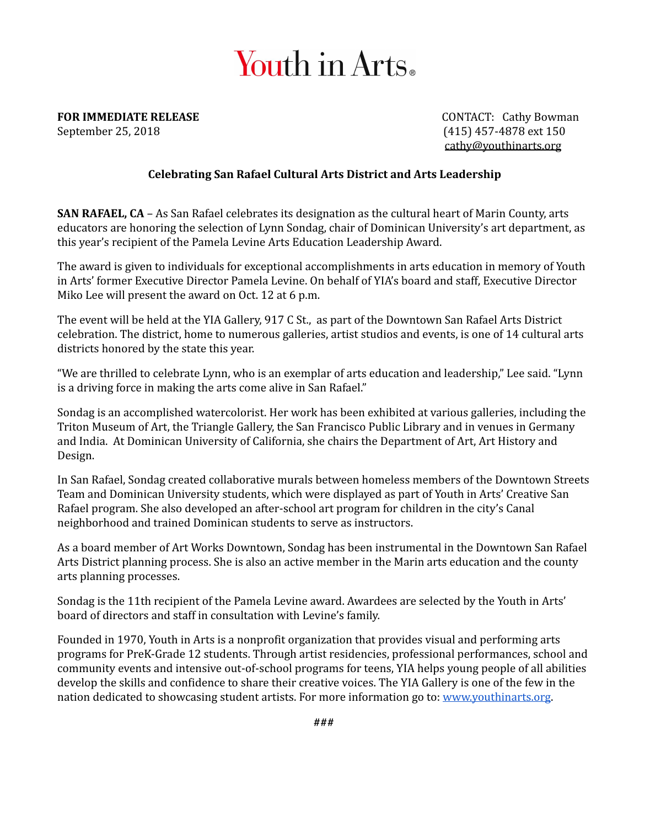## Youth in Arts.

**FOR IMMEDIATE RELEASE CONTACT:** Cathy Bowman

September 25, 2018 (415) 457-4878 ext 150 cathy@youthinarts.org

## **Celebrating San Rafael Cultural Arts District and Arts Leadership**

**SAN RAFAEL, CA** – As San Rafael celebrates its designation as the cultural heart of Marin County, arts educators are honoring the selection of Lynn Sondag, chair of Dominican University's art department, as this year's recipient of the Pamela Levine Arts Education Leadership Award.

The award is given to individuals for exceptional accomplishments in arts education in memory of Youth in Arts' former Executive Director Pamela Levine. On behalf of YIA's board and staff, Executive Director Miko Lee will present the award on Oct. 12 at 6 p.m.

The event will be held at the YIA Gallery, 917 C St., as part of the Downtown San Rafael Arts District celebration. The district, home to numerous galleries, artist studios and events, is one of 14 cultural arts districts honored by the state this year.

"We are thrilled to celebrate Lynn, who is an exemplar of arts education and leadership," Lee said. "Lynn is a driving force in making the arts come alive in San Rafael."

Sondag is an accomplished watercolorist. Her work has been exhibited at various galleries, including the Triton Museum of Art, the Triangle Gallery, the San Francisco Public Library and in venues in Germany and India. At Dominican University of California, she chairs the Department of Art, Art History and Design.

In San Rafael, Sondag created collaborative murals between homeless members of the Downtown Streets Team and Dominican University students, which were displayed as part of Youth in Arts' Creative San Rafael program. She also developed an after-school art program for children in the city's Canal neighborhood and trained Dominican students to serve as instructors.

As a board member of Art Works Downtown, Sondag has been instrumental in the Downtown San Rafael Arts District planning process. She is also an active member in the Marin arts education and the county arts planning processes.

Sondag is the 11th recipient of the Pamela Levine award. Awardees are selected by the Youth in Arts' board of directors and staff in consultation with Levine's family.

Founded in 1970, Youth in Arts is a nonprofit organization that provides visual and performing arts programs for PreK-Grade 12 students. Through artist residencies, professional performances, school and community events and intensive out-of-school programs for teens, YIA helps young people of all abilities develop the skills and confidence to share their creative voices. The YIA Gallery is one of the few in the nation dedicated to showcasing student artists. For more information go to: www.youthinarts.org.